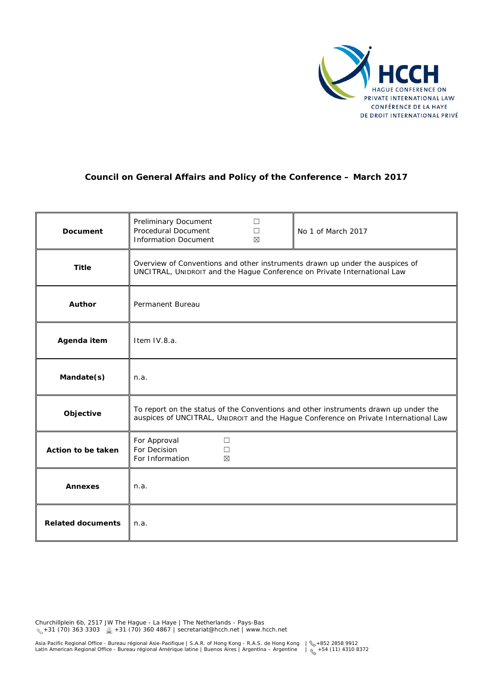

# **Council on General Affairs and Policy of the Conference – March 2017**

| <b>Document</b>          | Preliminary Document<br>П<br>Procedural Document<br>$\Box$<br>No 1 of March 2017<br><b>Information Document</b><br>$\boxtimes$                                              |
|--------------------------|-----------------------------------------------------------------------------------------------------------------------------------------------------------------------------|
| <b>Title</b>             | Overview of Conventions and other instruments drawn up under the auspices of<br>UNCITRAL, UNIDROIT and the Hague Conference on Private International Law                    |
| <b>Author</b>            | Permanent Bureau                                                                                                                                                            |
| Agenda item              | Item IV.8.a.                                                                                                                                                                |
| Mandate(s)               | n.a.                                                                                                                                                                        |
| Objective                | To report on the status of the Conventions and other instruments drawn up under the<br>auspices of UNCITRAL, UNIDROIT and the Hague Conference on Private International Law |
| Action to be taken       | For Approval<br>$\Box$<br>For Decision<br>$\Box$<br>For Information<br>⊠                                                                                                    |
| <b>Annexes</b>           | n.a.                                                                                                                                                                        |
| <b>Related documents</b> | n.a.                                                                                                                                                                        |

Churchillplein 6b, 2517 JW The Hague - La Haye | The Netherlands - Pays-Bas +31 (70) 363 3303 +31 (70) 360 4867 | secretariat@hcch.net | www.hcch.net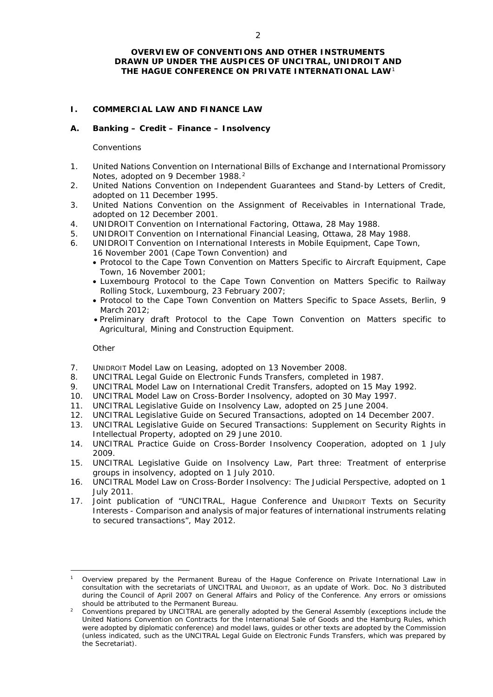### **OVERVIEW OF CONVENTIONS AND OTHER INSTRUMENTS DRAWN UP UNDER THE AUSPICES OF UNCITRAL, UNIDROIT AND THE HAGUE CONFERENCE ON PRIVATE INTERNATIONAL LAW**[1](#page-1-0)

## **I. COMMERCIAL LAW AND FINANCE LAW**

### **A. Banking – Credit – Finance – Insolvency**

### *Conventions*

- 1. United Nations Convention on International Bills of Exchange and International Promissory Notes, adopted on 9 December 1988.<sup>[2](#page-1-1)</sup>
- 2. United Nations Convention on Independent Guarantees and Stand-by Letters of Credit, adopted on 11 December 1995.
- 3. United Nations Convention on the Assignment of Receivables in International Trade, adopted on 12 December 2001.
- 4. UNIDROIT Convention on International Factoring, Ottawa, 28 May 1988.
- 5. UNIDROIT Convention on International Financial Leasing, Ottawa, 28 May 1988.
- 6. UNIDROIT Convention on International Interests in Mobile Equipment, Cape Town, 16 November 2001 (Cape Town Convention) and
	- Protocol to the Cape Town Convention on Matters Specific to Aircraft Equipment, Cape Town, 16 November 2001;
	- Luxembourg Protocol to the Cape Town Convention on Matters Specific to Railway Rolling Stock, Luxembourg, 23 February 2007;
	- Protocol to the Cape Town Convention on Matters Specific to Space Assets, Berlin, 9 March 2012;
	- Preliminary draft Protocol to the Cape Town Convention on Matters specific to Agricultural, Mining and Construction Equipment.

*Other*

<u>.</u>

- 7. UNIDROIT Model Law on Leasing, adopted on 13 November 2008.
- 8. UNCITRAL Legal Guide on Electronic Funds Transfers, completed in 1987.
- 9. UNCITRAL Model Law on International Credit Transfers, adopted on 15 May 1992.
- 10. UNCITRAL Model Law on Cross-Border Insolvency, adopted on 30 May 1997.
- 11. UNCITRAL Legislative Guide on Insolvency Law, adopted on 25 June 2004.
- 12. UNCITRAL Legislative Guide on Secured Transactions, adopted on 14 December 2007.
- 13. UNCITRAL Legislative Guide on Secured Transactions: Supplement on Security Rights in Intellectual Property, adopted on 29 June 2010.
- 14. UNCITRAL Practice Guide on Cross-Border Insolvency Cooperation, adopted on 1 July 2009.
- 15. UNCITRAL Legislative Guide on Insolvency Law, Part three: Treatment of enterprise groups in insolvency, adopted on 1 July 2010.
- 16. UNCITRAL Model Law on Cross-Border Insolvency: The Judicial Perspective, adopted on 1 July 2011.
- 17. Joint publication of "UNCITRAL, Hague Conference and UNIDROIT Texts on Security Interests - Comparison and analysis of major features of international instruments relating to secured transactions", May 2012.

<span id="page-1-0"></span><sup>1</sup> Overview prepared by the Permanent Bureau of the Hague Conference on Private International Law in consultation with the secretariats of UNCITRAL and UNIDROIT, as an update of Work. Doc. No 3 distributed during the Council of April 2007 on General Affairs and Policy of the Conference. Any errors or omissions should be attributed to the Permanent Bureau.<br><sup>2</sup> Conventions prepared by UNCITRAL are generally adopted by the General Assembly (exceptions include the

<span id="page-1-1"></span>United Nations Convention on Contracts for the International Sale of Goods and the Hamburg Rules, which were adopted by diplomatic conference) and model laws, guides or other texts are adopted by the Commission (unless indicated, such as the UNCITRAL Legal Guide on Electronic Funds Transfers, which was prepared by the Secretariat).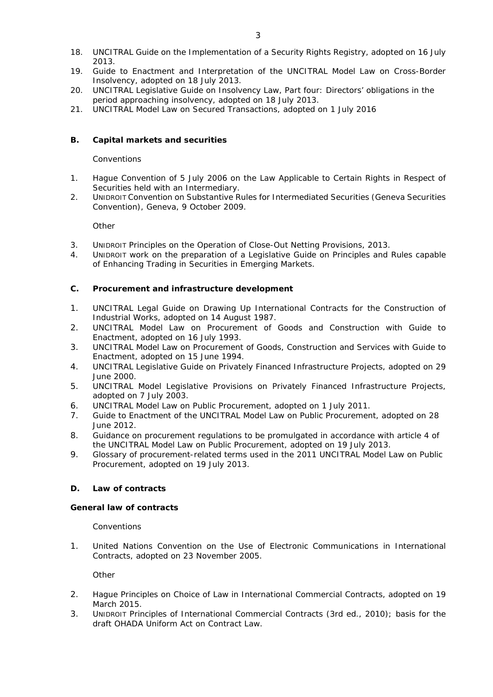- 18. UNCITRAL Guide on the Implementation of a Security Rights Registry, adopted on 16 July 2013.
- 19. Guide to Enactment and Interpretation of the UNCITRAL Model Law on Cross-Border Insolvency, adopted on 18 July 2013.
- 20. UNCITRAL Legislative Guide on Insolvency Law, Part four: Directors' obligations in the period approaching insolvency, adopted on 18 July 2013.
- 21. UNCITRAL Model Law on Secured Transactions, adopted on 1 July 2016

# **B. Capital markets and securities**

### *Conventions*

- 1. Hague Convention of 5 July 2006 on the Law Applicable to Certain Rights in Respect of Securities held with an Intermediary.
- 2. UNIDROIT Convention on Substantive Rules for Intermediated Securities (Geneva Securities Convention), Geneva, 9 October 2009.

*Other*

- 3. UNIDROIT Principles on the Operation of Close-Out Netting Provisions, 2013.
- 4. UNIDROIT work on the preparation of a Legislative Guide on Principles and Rules capable of Enhancing Trading in Securities in Emerging Markets.

### **C. Procurement and infrastructure development**

- 1. UNCITRAL Legal Guide on Drawing Up International Contracts for the Construction of Industrial Works, adopted on 14 August 1987.
- 2. UNCITRAL Model Law on Procurement of Goods and Construction with Guide to Enactment, adopted on 16 July 1993.
- 3. UNCITRAL Model Law on Procurement of Goods, Construction and Services with Guide to Enactment, adopted on 15 June 1994.
- 4. UNCITRAL Legislative Guide on Privately Financed Infrastructure Projects, adopted on 29 June 2000.
- 5. UNCITRAL Model Legislative Provisions on Privately Financed Infrastructure Projects, adopted on 7 July 2003.
- 6. UNCITRAL Model Law on Public Procurement, adopted on 1 July 2011.
- 7. Guide to Enactment of the UNCITRAL Model Law on Public Procurement, adopted on 28 June 2012.
- 8. Guidance on procurement regulations to be promulgated in accordance with article 4 of the UNCITRAL Model Law on Public Procurement, adopted on 19 July 2013.
- 9. Glossary of procurement-related terms used in the 2011 UNCITRAL Model Law on Public Procurement, adopted on 19 July 2013.

# **D. Law of contracts**

### **General law of contracts**

*Conventions*

1. United Nations Convention on the Use of Electronic Communications in International Contracts, adopted on 23 November 2005.

*Other*

- 2. Hague Principles on Choice of Law in International Commercial Contracts, adopted on 19 March 2015.
- 3. UNIDROIT Principles of International Commercial Contracts (3rd ed., 2010); basis for the draft OHADA Uniform Act on Contract Law.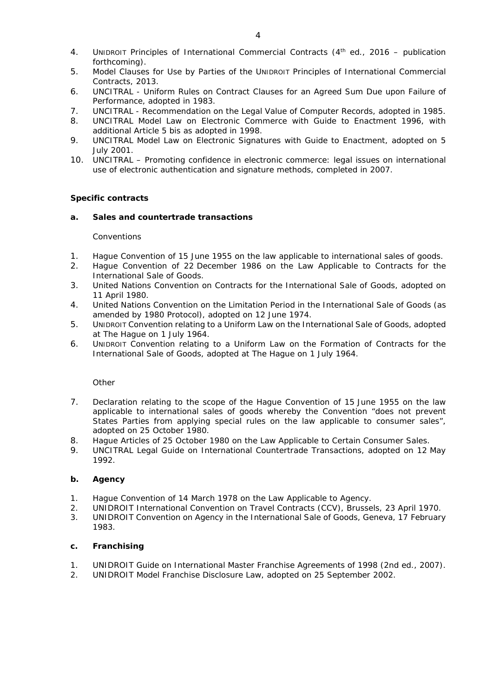- 4. UNIDROIT Principles of International Commercial Contracts (4th ed., 2016 publication forthcoming).
- 5. Model Clauses for Use by Parties of the UNIDROIT Principles of International Commercial Contracts, 2013.
- 6. UNCITRAL Uniform Rules on Contract Clauses for an Agreed Sum Due upon Failure of Performance, adopted in 1983.
- 7. UNCITRAL Recommendation on the Legal Value of Computer Records, adopted in 1985.
- 8. UNCITRAL Model Law on Electronic Commerce with Guide to Enactment 1996, with additional Article 5 *bis* as adopted in 1998.
- 9. UNCITRAL Model Law on Electronic Signatures with Guide to Enactment, adopted on 5 July 2001.
- 10. UNCITRAL Promoting confidence in electronic commerce: legal issues on international use of electronic authentication and signature methods, completed in 2007.

### **Specific contracts**

### **a. Sales and countertrade transactions**

### *Conventions*

- 1. Hague Convention of 15 June 1955 on the law applicable to international sales of goods.
- 2. Hague Convention of 22 December 1986 on the Law Applicable to Contracts for the International Sale of Goods.
- 3. United Nations Convention on Contracts for the International Sale of Goods, adopted on 11 April 1980.
- 4. United Nations Convention on the Limitation Period in the International Sale of Goods (as amended by 1980 Protocol), adopted on 12 June 1974.
- 5. UNIDROIT Convention relating to a Uniform Law on the International Sale of Goods, adopted at The Hague on 1 July 1964.
- 6. UNIDROIT Convention relating to a Uniform Law on the Formation of Contracts for the International Sale of Goods, adopted at The Hague on 1 July 1964.

*Other*

- 7. Declaration relating to the scope of the Hague Convention of 15 June 1955 on the law applicable to international sales of goods whereby the Convention "does not prevent States Parties from applying special rules on the law applicable to consumer sales", adopted on 25 October 1980.
- 8. Hague Articles of 25 October 1980 on the Law Applicable to Certain Consumer Sales.
- 9. UNCITRAL Legal Guide on International Countertrade Transactions, adopted on 12 May 1992.

### **b. Agency**

- 1. Hague Convention of 14 March 1978 on the Law Applicable to Agency.
- 2. UNIDROIT International Convention on Travel Contracts (CCV), Brussels, 23 April 1970.
- 3. UNIDROIT Convention on Agency in the International Sale of Goods, Geneva, 17 February 1983.

### **c. Franchising**

- 1. UNIDROIT Guide on International Master Franchise Agreements of 1998 (2nd ed., 2007).
- 2. UNIDROIT Model Franchise Disclosure Law, adopted on 25 September 2002.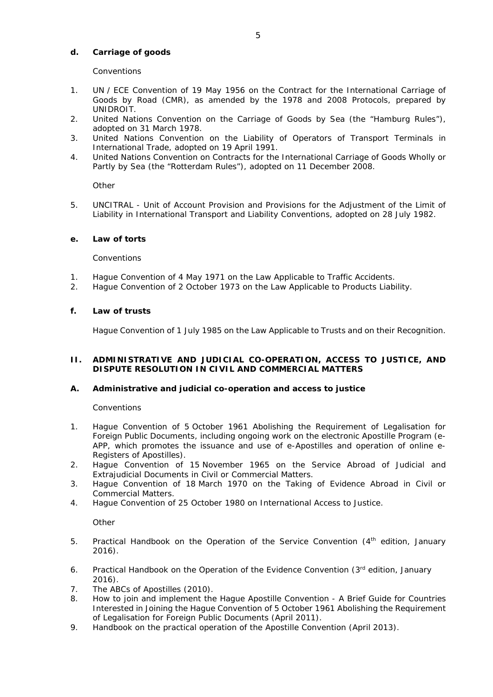### **d. Carriage of goods**

### *Conventions*

- 1. UN / ECE Convention of 19 May 1956 on the Contract for the International Carriage of Goods by Road (CMR), as amended by the 1978 and 2008 Protocols, prepared by UNIDROIT.
- 2. United Nations Convention on the Carriage of Goods by Sea (the "Hamburg Rules"), adopted on 31 March 1978.
- 3. United Nations Convention on the Liability of Operators of Transport Terminals in International Trade, adopted on 19 April 1991.
- 4. United Nations Convention on Contracts for the International Carriage of Goods Wholly or Partly by Sea (the "Rotterdam Rules"), adopted on 11 December 2008.

*Other*

5. UNCITRAL - Unit of Account Provision and Provisions for the Adjustment of the Limit of Liability in International Transport and Liability Conventions, adopted on 28 July 1982.

### **e. Law of torts**

### *Conventions*

- 1. Hague Convention of 4 May 1971 on the Law Applicable to Traffic Accidents.
- 2. Hague Convention of 2 October 1973 on the Law Applicable to Products Liability.

### **f. Law of trusts**

Hague Convention of 1 July 1985 on the Law Applicable to Trusts and on their Recognition.

### **II. ADMINISTRATIVE AND JUDICIAL CO-OPERATION, ACCESS TO JUSTICE, AND DISPUTE RESOLUTION IN CIVIL AND COMMERCIAL MATTERS**

### **A. Administrative and judicial co-operation and access to justice**

### *Conventions*

- 1. Hague Convention of 5 October 1961 Abolishing the Requirement of Legalisation for Foreign Public Documents, including ongoing work on the electronic Apostille Program (e-APP, which promotes the issuance and use of e-Apostilles and operation of online e-Registers of Apostilles).
- 2. Hague Convention of 15 November 1965 on the Service Abroad of Judicial and Extrajudicial Documents in Civil or Commercial Matters.
- 3. Hague Convention of 18 March 1970 on the Taking of Evidence Abroad in Civil or Commercial Matters.
- 4. Hague Convention of 25 October 1980 on International Access to Justice.

*Other*

- 5. Practical Handbook on the Operation of the Service Convention (4<sup>th</sup> edition, January 2016).
- 6. Practical Handbook on the Operation of the Evidence Convention (3rd edition, January 2016).
- 7. The ABCs of Apostilles (2010).
- 8. How to join and implement the Hague Apostille Convention A Brief Guide for Countries Interested in Joining the Hague Convention of 5 October 1961 Abolishing the Requirement of Legalisation for Foreign Public Documents (April 2011).
- 9. Handbook on the practical operation of the Apostille Convention (April 2013).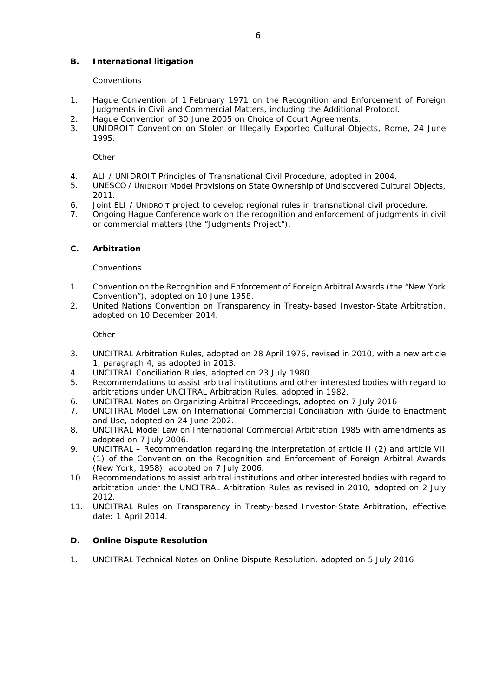# **B. International litigation**

### *Conventions*

- 1. Hague Convention of 1 February 1971 on the Recognition and Enforcement of Foreign Judgments in Civil and Commercial Matters, including the Additional Protocol.
- 2. Hague Convention of 30 June 2005 on Choice of Court Agreements.
- 3. UNIDROIT Convention on Stolen or Illegally Exported Cultural Objects, Rome, 24 June 1995.

*Other*

- 4. ALI / UNIDROIT Principles of Transnational Civil Procedure, adopted in 2004.
- 5. UNESCO / UNIDROIT Model Provisions on State Ownership of Undiscovered Cultural Objects, 2011.
- 6. Joint ELI / UNIDROIT project to develop regional rules in transnational civil procedure.
- 7. Ongoing Hague Conference work on the recognition and enforcement of judgments in civil or commercial matters (the "Judgments Project").

### **C. Arbitration**

#### *Conventions*

- 1. Convention on the Recognition and Enforcement of Foreign Arbitral Awards (the "New York Convention"), adopted on 10 June 1958.
- 2. United Nations Convention on Transparency in Treaty-based Investor-State Arbitration, adopted on 10 December 2014.

*Other*

- 3. UNCITRAL Arbitration Rules, adopted on 28 April 1976, revised in 2010, with a new article 1, paragraph 4, as adopted in 2013.
- 4. UNCITRAL Conciliation Rules, adopted on 23 July 1980.
- 5. Recommendations to assist arbitral institutions and other interested bodies with regard to arbitrations under UNCITRAL Arbitration Rules, adopted in 1982.
- 6. UNCITRAL Notes on Organizing Arbitral Proceedings, adopted on 7 July 2016
- 7. UNCITRAL Model Law on International Commercial Conciliation with Guide to Enactment and Use, adopted on 24 June 2002.
- 8. UNCITRAL Model Law on International Commercial Arbitration 1985 with amendments as adopted on 7 July 2006.
- 9. UNCITRAL Recommendation regarding the interpretation of article II (2) and article VII (1) of the Convention on the Recognition and Enforcement of Foreign Arbitral Awards (New York, 1958), adopted on 7 July 2006.
- 10. Recommendations to assist arbitral institutions and other interested bodies with regard to arbitration under the UNCITRAL Arbitration Rules as revised in 2010, adopted on 2 July 2012.
- 11. UNCITRAL Rules on Transparency in Treaty-based Investor-State Arbitration, effective date: 1 April 2014.

### **D. Online Dispute Resolution**

1. UNCITRAL Technical Notes on Online Dispute Resolution, adopted on 5 July 2016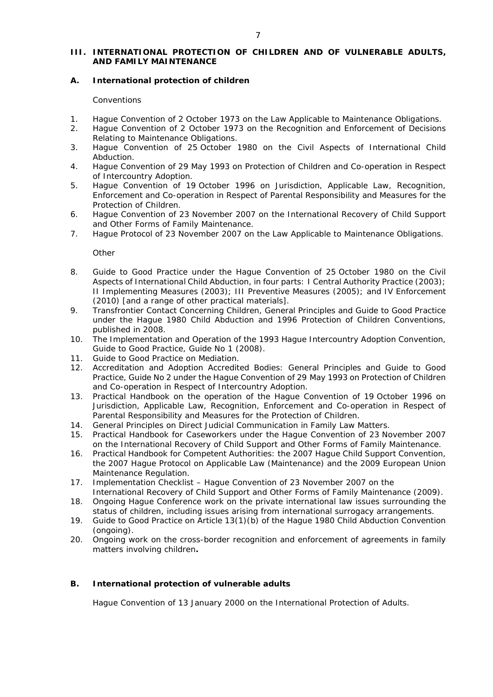# **III. INTERNATIONAL PROTECTION OF CHILDREN AND OF VULNERABLE ADULTS, AND FAMILY MAINTENANCE**

## **A. International protection of children**

### *Conventions*

- 1. Hague Convention of 2 October 1973 on the Law Applicable to Maintenance Obligations.
- 2. Hague Convention of 2 October 1973 on the Recognition and Enforcement of Decisions Relating to Maintenance Obligations.
- 3. Hague Convention of 25 October 1980 on the Civil Aspects of International Child Abduction.
- 4. Hague Convention of 29 May 1993 on Protection of Children and Co-operation in Respect of Intercountry Adoption.
- 5. Hague Convention of 19 October 1996 on Jurisdiction, Applicable Law, Recognition, Enforcement and Co-operation in Respect of Parental Responsibility and Measures for the Protection of Children.
- 6. Hague Convention of 23 November 2007 on the International Recovery of Child Support and Other Forms of Family Maintenance.
- 7. Hague Protocol of 23 November 2007 on the Law Applicable to Maintenance Obligations.

*Other*

- 8. Guide to Good Practice under the Hague Convention of 25 October 1980 on the Civil Aspects of International Child Abduction, in four parts: I Central Authority Practice (2003); II Implementing Measures (2003); III Preventive Measures (2005); and IV Enforcement (2010) [and a range of other practical materials].
- 9. Transfrontier Contact Concerning Children, General Principles and Guide to Good Practice under the Hague 1980 Child Abduction and 1996 Protection of Children Conventions, published in 2008.
- 10. The Implementation and Operation of the 1993 Hague Intercountry Adoption Convention, Guide to Good Practice, Guide No 1 (2008).
- 11. Guide to Good Practice on Mediation.
- 12. Accreditation and Adoption Accredited Bodies: General Principles and Guide to Good Practice, Guide No 2 under the Hague Convention of 29 May 1993 on Protection of Children and Co-operation in Respect of Intercountry Adoption.
- 13. Practical Handbook on the operation of the Hague Convention of 19 October 1996 on Jurisdiction, Applicable Law, Recognition, Enforcement and Co-operation in Respect of Parental Responsibility and Measures for the Protection of Children.
- 14. General Principles on Direct Judicial Communication in Family Law Matters.
- 15. Practical Handbook for Caseworkers under the Hague Convention of 23 November 2007 on the International Recovery of Child Support and Other Forms of Family Maintenance.
- 16. Practical Handbook for Competent Authorities: the 2007 Hague Child Support Convention, the 2007 Hague Protocol on Applicable Law (Maintenance) and the 2009 European Union Maintenance Regulation.
- 17. Implementation Checklist Hague Convention of 23 November 2007 on the International Recovery of Child Support and Other Forms of Family Maintenance (2009).
- 18. Ongoing Hague Conference work on the private international law issues surrounding the status of children, including issues arising from international surrogacy arrangements.
- 19. Guide to Good Practice on Article 13(1)(b) of the Hague 1980 Child Abduction Convention (ongoing).
- 20. Ongoing work on the cross-border recognition and enforcement of agreements in family matters involving children**.**

# **B. International protection of vulnerable adults**

Hague Convention of 13 January 2000 on the International Protection of Adults.